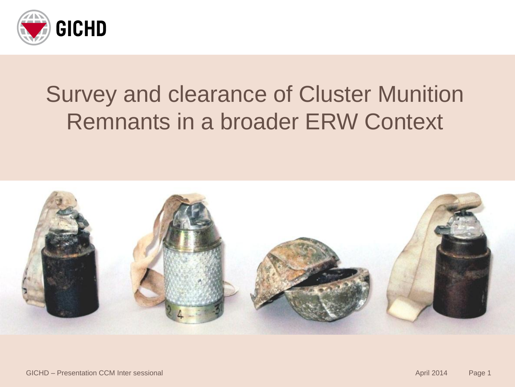

### Survey and clearance of Cluster Munition Remnants in a broader ERW Context

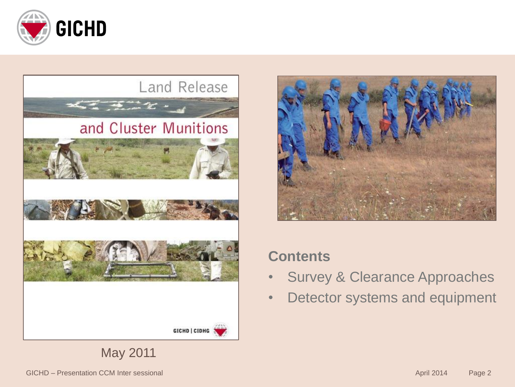







#### **Contents**

- Survey & Clearance Approaches
- Detector systems and equipment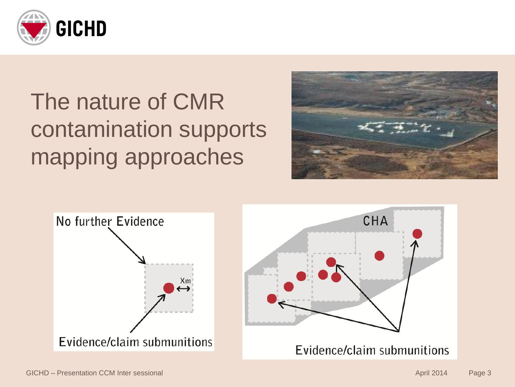

# The nature of CMR contamination supports mapping approaches



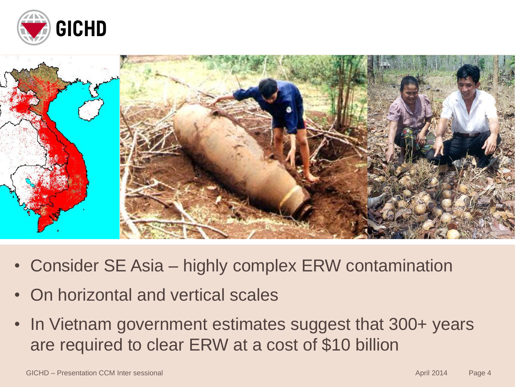



- Consider SE Asia highly complex ERW contamination
- On horizontal and vertical scales
- In Vietnam government estimates suggest that 300+ years are required to clear ERW at a cost of \$10 billion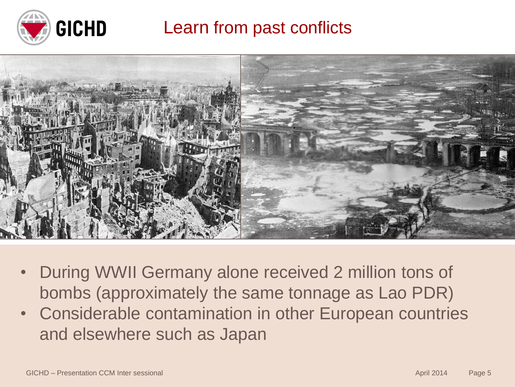

Learn from past conflicts



- During WWII Germany alone received 2 million tons of bombs (approximately the same tonnage as Lao PDR)
- Considerable contamination in other European countries and elsewhere such as Japan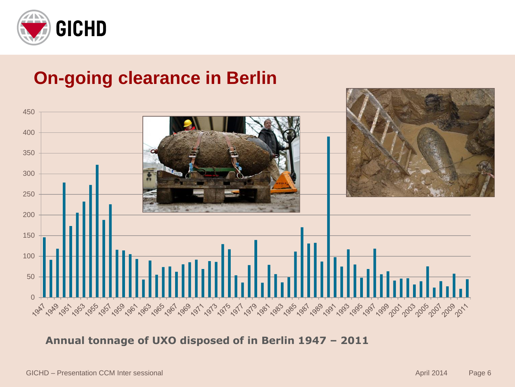

#### **On-going clearance in Berlin**



**Annual tonnage of UXO disposed of in Berlin 1947 – 2011**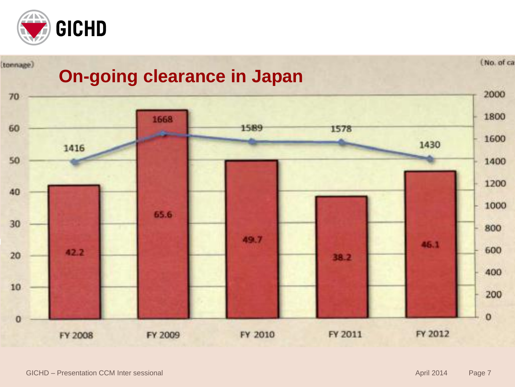